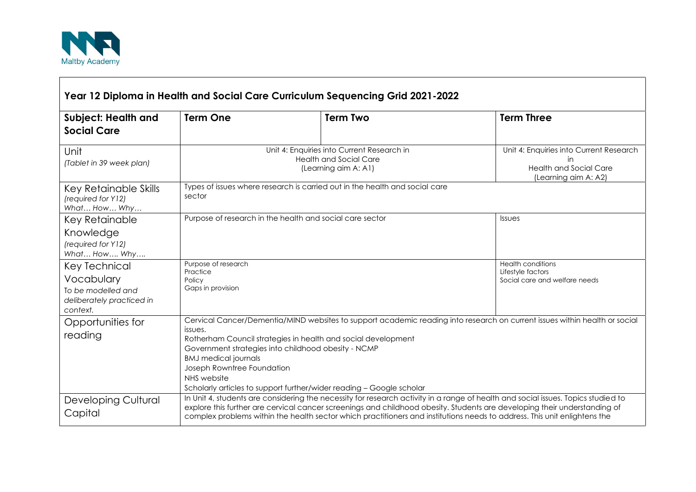

 $\Gamma$ 

| Year 12 Diploma in Health and Social Care Curriculum Sequencing Grid 2021-2022             |                                                                                                                                                                                                                                                                                                                                                                                                                   |                                                                             |                                                                                                        |
|--------------------------------------------------------------------------------------------|-------------------------------------------------------------------------------------------------------------------------------------------------------------------------------------------------------------------------------------------------------------------------------------------------------------------------------------------------------------------------------------------------------------------|-----------------------------------------------------------------------------|--------------------------------------------------------------------------------------------------------|
| <b>Subject: Health and</b><br><b>Social Care</b>                                           | <b>Term One</b>                                                                                                                                                                                                                                                                                                                                                                                                   | <b>Term Two</b>                                                             | <b>Term Three</b>                                                                                      |
| Unit<br>(Tablet in 39 week plan)                                                           | Unit 4: Enquiries into Current Research in<br><b>Health and Social Care</b><br>(Learning aim A: A1)                                                                                                                                                                                                                                                                                                               |                                                                             | Unit 4: Enquiries into Current Research<br>in<br><b>Health and Social Care</b><br>(Learning aim A: A2) |
| Key Retainable Skills<br>(required for Y12)<br>What How Why                                | sector                                                                                                                                                                                                                                                                                                                                                                                                            | Types of issues where research is carried out in the health and social care |                                                                                                        |
| Key Retainable<br>Knowledge<br>(required for Y12)<br>What How Why                          | Purpose of research in the health and social care sector                                                                                                                                                                                                                                                                                                                                                          |                                                                             | Issues                                                                                                 |
| Key Technical<br>Vocabulary<br>To be modelled and<br>deliberately practiced in<br>context. | Purpose of research<br>Practice<br>Policy<br>Gaps in provision                                                                                                                                                                                                                                                                                                                                                    |                                                                             | <b>Health conditions</b><br>Lifestyle factors<br>Social care and welfare needs                         |
| Opportunities for<br>reading                                                               | Cervical Cancer/Dementia/MIND websites to support academic reading into research on current issues within health or social<br>issues.<br>Rotherham Council strategies in health and social development<br>Government strategies into childhood obesity - NCMP<br><b>BMJ</b> medical journals<br>Joseph Rowntree Foundation<br>NHS website<br>Scholarly articles to support further/wider reading - Google scholar |                                                                             |                                                                                                        |
| <b>Developing Cultural</b><br>Capital                                                      | In Unit 4, students are considering the necessity for research activity in a range of health and social issues. Topics studied to<br>explore this further are cervical cancer screenings and childhood obesity. Students are developing their understanding of<br>complex problems within the health sector which practitioners and institutions needs to address. This unit enlightens the                       |                                                                             |                                                                                                        |